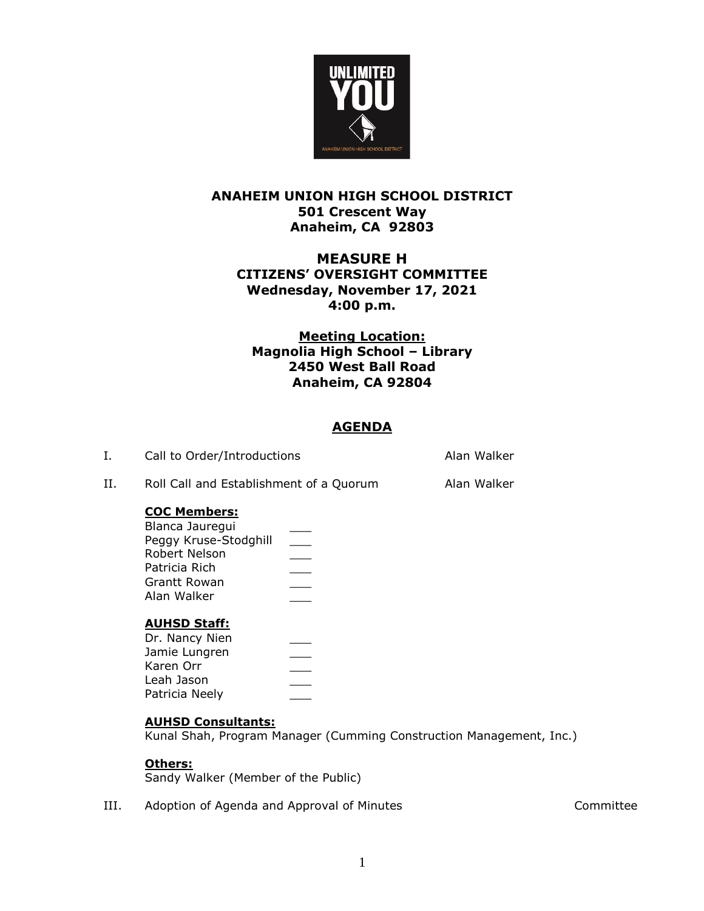

# **ANAHEIM UNION HIGH SCHOOL DISTRICT 501 Crescent Way Anaheim, CA 92803**

# **MEASURE H CITIZENS' OVERSIGHT COMMITTEE Wednesday, November 17, 2021 4:00 p.m.**

# **Meeting Location: Magnolia High School – Library 2450 West Ball Road Anaheim, CA 92804**

# **AGENDA**

| Call to Order/Introductions | Alan Walker |
|-----------------------------|-------------|
|                             |             |

II. Roll Call and Establishment of a Quorum Alan Walker

# **COC Members:**

| Blanca Jauregui       |  |
|-----------------------|--|
| Peggy Kruse-Stodghill |  |
| Robert Nelson         |  |
| Patricia Rich         |  |
| Grantt Rowan          |  |
| Alan Walker           |  |
|                       |  |

## **AUHSD Staff:**

| Dr. Nancy Nien |  |
|----------------|--|
| Jamie Lungren  |  |
| Karen Orr      |  |
| Leah Jason     |  |
| Patricia Neely |  |

## **AUHSD Consultants:**

Kunal Shah, Program Manager (Cumming Construction Management, Inc.)

## **Others:**

Sandy Walker (Member of the Public)

III. Adoption of Agenda and Approval of Minutes **Accord Account Committee**